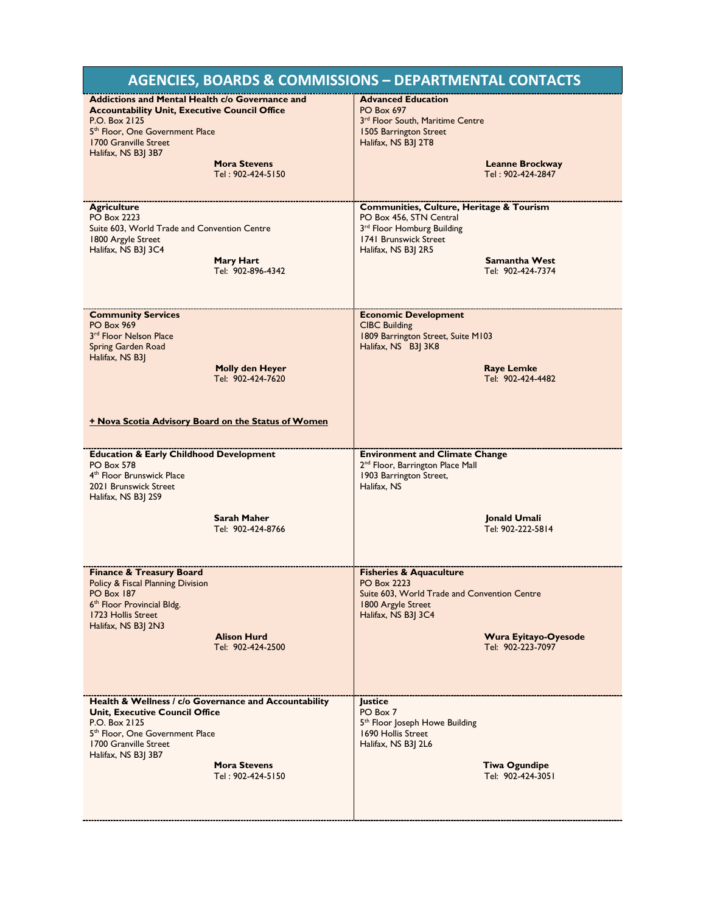| <b>AGENCIES, BOARDS &amp; COMMISSIONS - DEPARTMENTAL CONTACTS</b>                                                                                                                                                                                                          |                                                                                                                                                                                                           |
|----------------------------------------------------------------------------------------------------------------------------------------------------------------------------------------------------------------------------------------------------------------------------|-----------------------------------------------------------------------------------------------------------------------------------------------------------------------------------------------------------|
| <b>Addictions and Mental Health c/o Governance and</b><br><b>Accountability Unit, Executive Council Office</b><br>P.O. Box 2125<br>5 <sup>th</sup> Floor, One Government Place<br>1700 Granville Street<br>Halifax, NS B3J 3B7<br><b>Mora Stevens</b><br>Tel: 902-424-5150 | <b>Advanced Education</b><br><b>PO Box 697</b><br>3rd Floor South, Maritime Centre<br>1505 Barrington Street<br>Halifax, NS B3  2T8<br><b>Leanne Brockway</b><br>Tel: 902-424-2847                        |
| <b>Agriculture</b><br><b>PO Box 2223</b><br>Suite 603. World Trade and Convention Centre<br>1800 Argyle Street<br>Halifax, NS B3J 3C4<br>Mary Hart<br>Tel: 902-896-4342                                                                                                    | Communities, Culture, Heritage & Tourism<br>PO Box 456, STN Central<br>3rd Floor Homburg Building<br>1741 Brunswick Street<br>Halifax, NS B3J 2R5<br><b>Samantha West</b><br>Tel: 902-424-7374            |
| <b>Community Services</b><br><b>PO Box 969</b><br>3 <sup>rd</sup> Floor Nelson Place<br>Spring Garden Road<br>Halifax, NS B31<br><b>Molly den Heyer</b><br>Tel: 902-424-7620<br><b>+ Nova Scotia Advisory Board on the Status of Women</b>                                 | <b>Economic Development</b><br><b>CIBC Building</b><br>1809 Barrington Street, Suite M103<br>Halifax, NS B3J 3K8<br><b>Raye Lemke</b><br>Tel: 902-424-4482                                                |
| <b>Education &amp; Early Childhood Development</b><br><b>PO Box 578</b><br>4 <sup>th</sup> Floor Brunswick Place<br>2021 Brunswick Street<br>Halifax, NS B3J 2S9<br><b>Sarah Maher</b><br>Tel: 902-424-8766                                                                | <b>Environment and Climate Change</b><br>2 <sup>nd</sup> Floor, Barrington Place Mall<br>1903 Barrington Street,<br>Halifax, NS<br>Jonald Umali<br>Tel: 902-222-5814                                      |
| <b>Finance &amp; Treasury Board</b><br>Policy & Fiscal Planning Division<br><b>PO Box 187</b><br>6 <sup>th</sup> Floor Provincial Bldg.<br>1723 Hollis Street<br>Halifax, NS B3  2N3<br><b>Alison Hurd</b><br>Tel: 902-424-2500                                            | <b>Fisheries &amp; Aquaculture</b><br><b>PO Box 2223</b><br>Suite 603, World Trade and Convention Centre<br>1800 Argyle Street<br>Halifax, NS B3  3C4<br><b>Wura Eyitayo-Oyesode</b><br>Tel: 902-223-7097 |
| Health & Wellness / c/o Governance and Accountability<br><b>Unit, Executive Council Office</b><br>P.O. Box 2125<br>5 <sup>th</sup> Floor, One Government Place<br>1700 Granville Street<br>Halifax, NS B3  3B7<br><b>Mora Stevens</b><br>Tel: 902-424-5150                 | Justice<br>PO Box 7<br>5 <sup>th</sup> Floor Joseph Howe Building<br>1690 Hollis Street<br>Halifax, NS B3  2L6<br><b>Tiwa Ogundipe</b><br>Tel: 902-424-3051                                               |